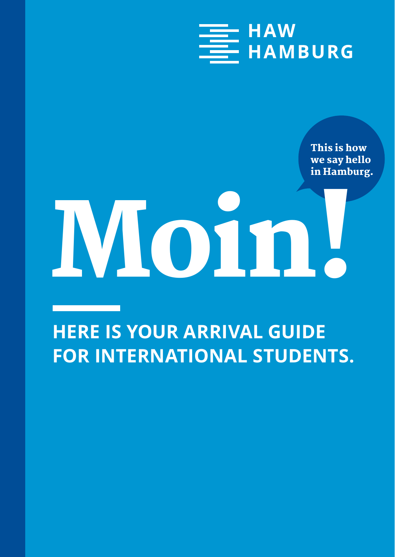

This is how we say hello in Hamburg.

# Moin!

#### **HERE IS YOUR ARRIVAL GUIDE FOR INTERNATIONAL STUDENTS.**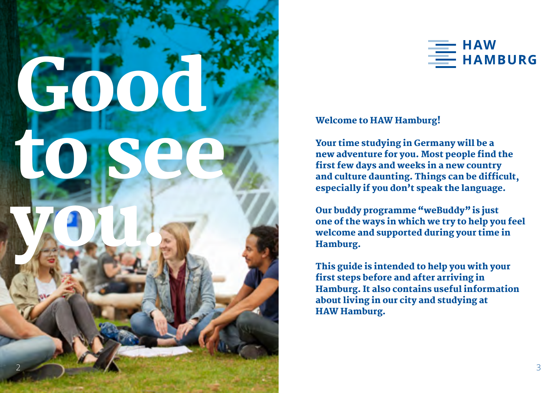



#### Welcome to HAW Hamburg!

Your time studying in Germany will be a new adventure for you. Most people find the first few days and weeks in a new country and culture daunting. Things can be difficult, especially if you don't speak the language.

Our buddy programme "weBuddy" is just one of the ways in which we try to help you feel welcome and supported during your time in Hamburg.

This guide is intended to help you with your first steps before and after arriving in Hamburg. It also contains useful information about living in our city and studying at HAW Hamburg.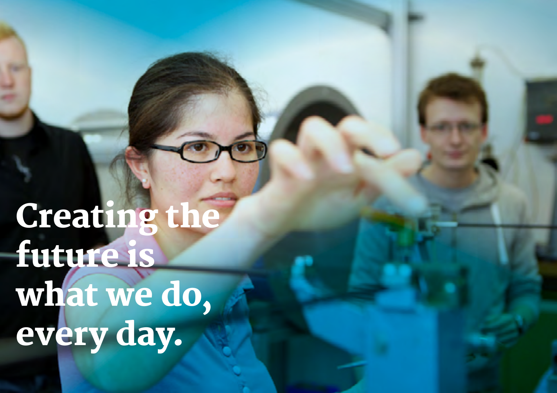Creating the future is what we do, every day.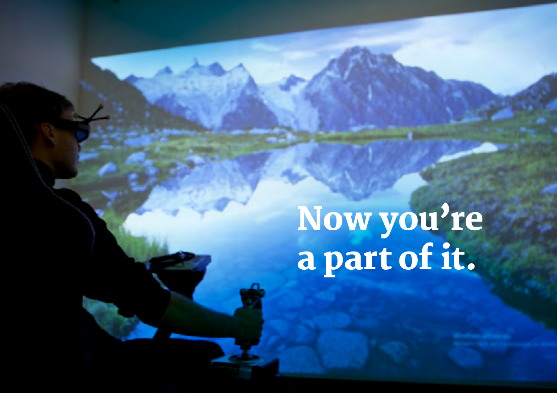Now you're a part of it.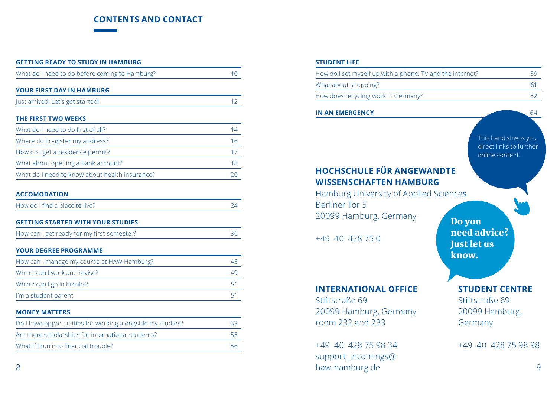#### **CONTENTS AND CONTACT**

| <b>GETTING READY TO STUDY IN HAMBURG</b>                  |                 |  |  |
|-----------------------------------------------------------|-----------------|--|--|
| What do I need to do before coming to Hamburg?            | 10 <sup>1</sup> |  |  |
| YOUR FIRST DAY IN HAMBURG                                 |                 |  |  |
| Just arrived. Let's get started!                          | 12 <sup>°</sup> |  |  |
| <b>THE FIRST TWO WEEKS</b>                                |                 |  |  |
| What do I need to do first of all?                        | 14              |  |  |
| Where do I register my address?                           | 16              |  |  |
| How do I get a residence permit?                          | 17              |  |  |
| What about opening a bank account?                        | 18              |  |  |
| What do I need to know about health insurance?            | 20              |  |  |
| <b>ACCOMODATION</b>                                       |                 |  |  |
| How do I find a place to live?                            | 24              |  |  |
| <b>GETTING STARTED WITH YOUR STUDIES</b>                  |                 |  |  |
| How can I get ready for my first semester?                | 36              |  |  |
| <b>YOUR DEGREE PROGRAMME</b>                              |                 |  |  |
| How can I manage my course at HAW Hamburg?                | 45              |  |  |
| Where can I work and revise?                              | 49              |  |  |
| Where can I go in breaks?                                 | 51              |  |  |
| I'm a student parent                                      | 51              |  |  |
| <b>MONEY MATTERS</b>                                      |                 |  |  |
| Do I have opportunities for working alongside my studies? | 53              |  |  |
| Are there scholarships for international students?        | 55              |  |  |
| What if I run into financial trouble?                     | 56              |  |  |

#### **STUDENT LIFE**

| How do I set myself up with a phone, TV and the internet? | 59  |
|-----------------------------------------------------------|-----|
| What about shopping?                                      |     |
| How does recycling work in Germany?                       | -62 |

#### **IN AN EMERGENCY** 64

Berliner Tor 5

Stiftstraße 69

room 232 and 233

+49 40 428 75 98 34 support\_incomings@

+49 40 428 75 0

**HOCHSCHULE FÜR ANGEWANDTE WISSENSCHAFTEN HAMBURG** Hamburg University of Applied Sciences 20099 Hamburg, Germany Do you need advice? Just let us know. **INTERNATIONAL OFFICE**  20099 Hamburg, Germany **STUDENT CENTRE**  Stiftstraße 69 20099 Hamburg, This hand shwos you direct links to further online content.

+49 40 428 75 98 98

Germany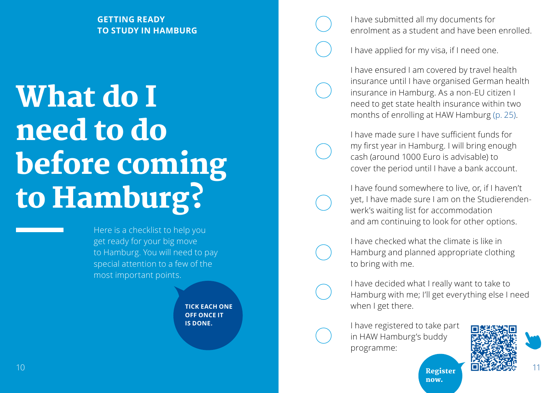#### **GETTING READY TO STUDY IN HAMBURG**

## What do I need to do before coming to Hamburg?

Here is a checklist to help you get ready for your big move to Hamburg. You will need to pay special attention to a few of the most important points.

> **TICK EACH ONE OFF ONCE IT IS DONE.**

I have submitted all my documents for enrolment as a student and have been enrolled.

I have applied for my visa, if I need one.

I have ensured I am covered by travel health insurance until I have organised German health insurance in Hamburg. As a non-EU citizen I need to get state health insurance within two months of enrolling at HAW Hamburg (p. 25).

I have made sure I have sufficient funds for my first year in Hamburg. I will bring enough cash (around 1000 Euro is advisable) to cover the period until I have a bank account.

I have found somewhere to live, or, if I haven't yet, I have made sure I am on the Studierendenwerk's waiting list for accommodation and am continuing to look for other options.

I have checked what the climate is like in Hamburg and planned appropriate clothing to bring with me.

I have decided what I really want to take to Hamburg with me; I'll get everything else I need when I get there.

now.

I have registered to take part in HAW Hamburg's buddy programme:



Register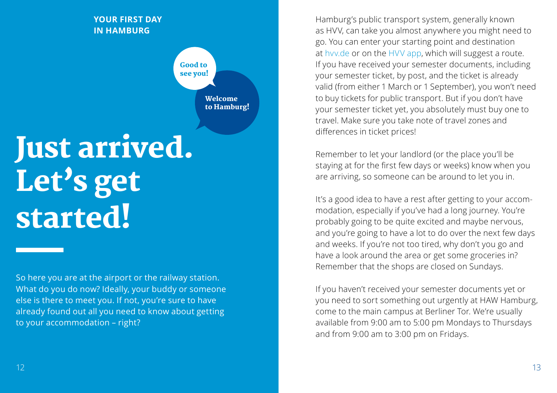#### **YOUR FIRST DAY IN HAMBURG**

Welcome to Hamburg! Good to see you!

# Just arrived. Let's get started!

So here you are at the airport or the railway station. What do you do now? Ideally, your buddy or someone else is there to meet you. If not, you're sure to have already found out all you need to know about getting to your accommodation – right?

Hamburg's public transport system, generally known as HVV, can take you almost anywhere you might need to go. You can enter your starting point and destination at hvv.de or on the HVV app, which will suggest a route. If you have received your semester documents, including your semester ticket, by post, and the ticket is already valid (from either 1 March or 1 September), you won't need to buy tickets for public transport. But if you don't have your semester ticket yet, you absolutely must buy one to travel. Make sure you take note of travel zones and differences in ticket prices!

Remember to let your landlord (or the place you'll be staying at for the first few days or weeks) know when you are arriving, so someone can be around to let you in.

It's a good idea to have a rest after getting to your accommodation, especially if you've had a long journey. You're probably going to be quite excited and maybe nervous, and you're going to have a lot to do over the next few days and weeks. If you're not too tired, why don't you go and have a look around the area or get some groceries in? Remember that the shops are closed on Sundays.

If you haven't received your semester documents yet or you need to sort something out urgently at HAW Hamburg, come to the main campus at Berliner Tor. We're usually available from 9:00 am to 5:00 pm Mondays to Thursdays and from 9:00 am to 3:00 pm on Fridays.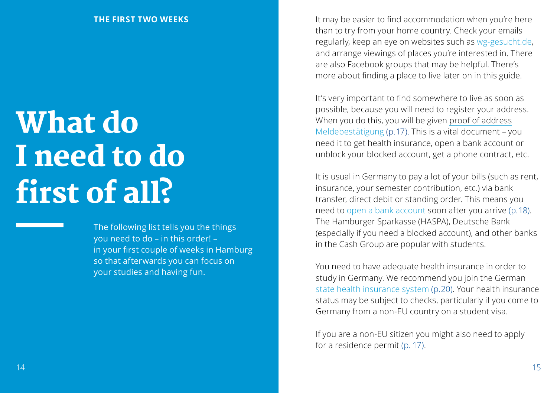# What do I need to do first of all?

The following list tells you the things you need to do – in this order! – in your first couple of weeks in Hamburg so that afterwards you can focus on your studies and having fun.

It may be easier to find accommodation when you're here than to try from your home country. Check your emails regularly, keep an eye on websites such as wg-gesucht.de, and arrange viewings of places you're interested in. There are also Facebook groups that may be helpful. There's more about finding a place to live later on in this guide.

It's very important to find somewhere to live as soon as possible, because you will need to register your address. When you do this, you will be given proof of address Meldebestätigung (p. 17). This is a vital document – you need it to get health insurance, open a bank account or unblock your blocked account, get a phone contract, etc.

It is usual in Germany to pay a lot of your bills (such as rent, insurance, your semester contribution, etc.) via bank transfer, direct debit or standing order. This means you need to open a bank account soon after you arrive (p. 18). The Hamburger Sparkasse (HASPA), Deutsche Bank (especially if you need a blocked account), and other banks in the Cash Group are popular with students.

You need to have adequate health insurance in order to study in Germany. We recommend you join the German state health insurance system (p. 20). Your health insurance status may be subject to checks, particularly if you come to Germany from a non-EU country on a student visa.

If you are a non-EU sitizen you might also need to apply for a residence permit (p. 17).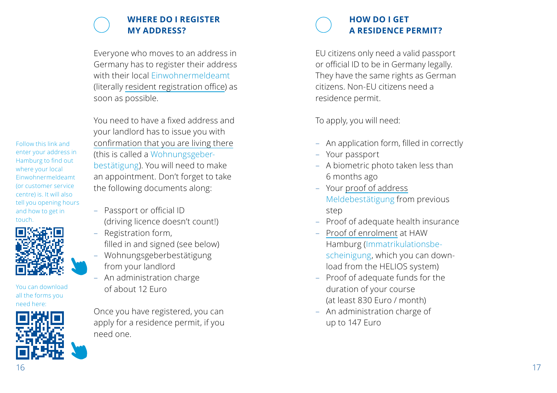#### **WHERE DO I REGISTER MY ADDRESS?**

Everyone who moves to an address in Germany has to register their address with their local Einwohnermeldeamt (literally resident registration office) as soon as possible.

You need to have a fixed address and your landlord has to issue you with confirmation that you are living there (this is called a Wohnungsgeber bestätigung). You will need to make an appointment. Don't forget to take the following documents along:

- Passport or official ID (driving licence doesn't count!)
- Registration form, filled in and signed (see below)
- Wohnungsgeberbestätigung from your landlord
- An administration charge of about 12 Euro

Once you have registered, you can apply for a residence permit, if you need one.



EU citizens only need a valid passport or official ID to be in Germany legally. They have the same rights as German citizens. Non-EU citizens need a residence permit.

To apply, you will need:

- An application form, filled in correctly Your passport
- 
- A biometric photo taken less than 6 months ago
- Your proof of address Meldebestätigung from previous step
- Proof of adequate health insurance
- Proof of enrolment at HAW Hamburg (Immatrikulationsbe scheinigung, which you can down load from the HELIOS system)
- Proof of adequate funds for the duration of your course (at least 830 Euro / month)
- An administration charge of up to 147 Euro

Follow this link and enter your address in Hamburg to find out where your local Einwohnermeldeamt (or customer service centre) is. It will also tell you opening hours and how to get in touch.



You can download all the forms you need here:

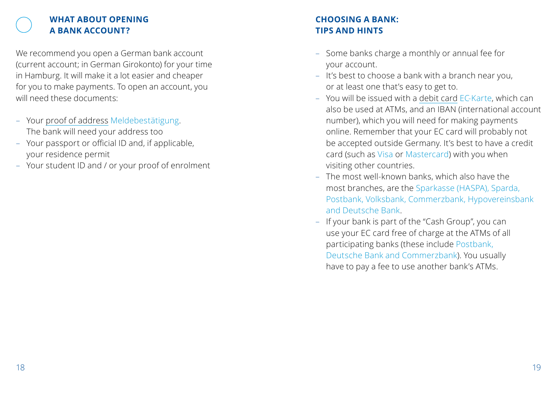#### **WHAT ABOUT OPENING A BANK ACCOUNT?**

We recommend you open a German bank account (current account; in German Girokonto) for your time in Hamburg. It will make it a lot easier and cheaper for you to make payments. To open an account, you will need these documents:

- Your proof of address Meldebestätigung. The bank will need your address too
- Your passport or official ID and, if applicable, your residence permit
- Your student ID and / or your proof of enrolment

#### **CHOOSING A BANK: TIPS AND HINTS**

- Some banks charge a monthly or annual fee for your account.
- It's best to choose a bank with a branch near you, or at least one that's easy to get to.
- You will be issued with a debit card EC-Karte, which can also be used at ATMs, and an IBAN (international account number), which you will need for making payments online. Remember that your EC card will probably not be accepted outside Germany. It's best to have a credit card (such as Visa or Mastercard) with you when visiting other countries.
- The most well-known banks, which also have the most branches, are the Sparkasse (HASPA), Sparda, Postbank, Volksbank, Commerzbank, Hypovereinsbank and Deutsche Bank.
- If your bank is part of the "Cash Group", you can use your EC card free of charge at the ATMs of all participating banks (these include Postbank, Deutsche Bank and Commerzbank). You usually have to pay a fee to use another bank's ATMs.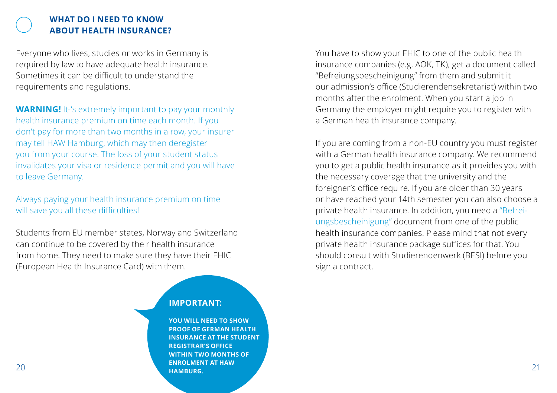#### **WHAT DO I NEED TO KNOW ABOUT HEALTH INSURANCE?**

Everyone who lives, studies or works in Germany is required by law to have adequate health insurance. Sometimes it can be difficult to understand the requirements and regulations.

**WARNING!** It-'s extremely important to pay your monthly health insurance premium on time each month. If you don't pay for more than two months in a row, your insurer may tell HAW Hamburg, which may then deregister you from your course. The loss of your student status invalidates your visa or residence permit and you will have to leave Germany.

Always paying your health insurance premium on time will save you all these difficulties!

Students from EU member states, Norway and Switzerland can continue to be covered by their health insurance from home. They need to make sure they have their EHIC (European Health Insurance Card) with them.

#### **IMPORTANT:**

 $20$  21 **YOU WILL NEED TO SHOW PROOF OF GERMAN HEALTH INSURANCE AT THE STUDENT REGISTRAR'S OFFICE WITHIN TWO MONTHS OF ENROLMENT AT HAW HAMBURG.**

You have to show your EHIC to one of the public health insurance companies (e.g. AOK, TK), get a document called "Befreiungsbescheinigung" from them and submit it our admission's office (Studierendensekretariat) within two months after the enrolment. When you start a job in Germany the employer might require you to register with a German health insurance company.

If you are coming from a non-EU country you must register with a German health insurance company. We recommend you to get a public health insurance as it provides you with the necessary coverage that the university and the foreigner's office require. If you are older than 30 years or have reached your 14th semester you can also choose a private health insurance. In addition, you need a "Befreiungsbescheinigung" document from one of the public health insurance companies. Please mind that not every private health insurance package suffices for that. You should consult with Studierendenwerk (BESI) before you sign a contract.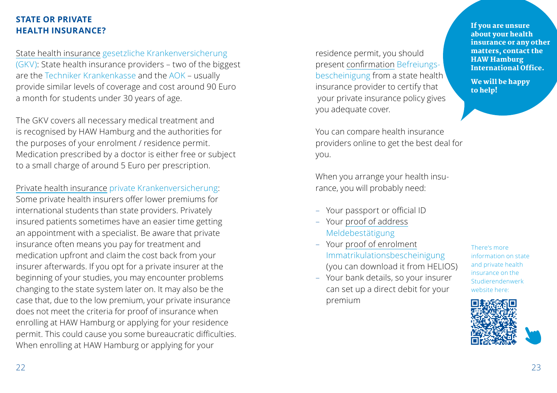#### **STATE OR PRIVATE HEALTH INSURANCE?**

State health insurance gesetzliche Krankenversicherung (GKV): State health insurance providers – two of the biggest are the Techniker Krankenkasse and the AOK – usually provide similar levels of coverage and cost around 90 Euro a month for students under 30 years of age.

The GKV covers all necessary medical treatment and is recognised by HAW Hamburg and the authorities for the purposes of your enrolment / residence permit. Medication prescribed by a doctor is either free or subject to a small charge of around 5 Euro per prescription.

Private health insurance private Krankenversicherung: Some private health insurers offer lower premiums for international students than state providers. Privately insured patients sometimes have an easier time getting an appointment with a specialist. Be aware that private insurance often means you pay for treatment and medication upfront and claim the cost back from your insurer afterwards. If you opt for a private insurer at the beginning of your studies, you may encounter problems changing to the state system later on. It may also be the case that, due to the low premium, your private insurance does not meet the criteria for proof of insurance when enrolling at HAW Hamburg or applying for your residence permit. This could cause you some bureaucratic difficulties. When enrolling at HAW Hamburg or applying for your

residence permit, you should present confirmation Befreiungsbescheinigung from a state health insurance provider to certify that your private insurance policy gives you adequate cover.

You can compare health insurance providers online to get the best deal for you.

When you arrange your health insurance, you will probably need:

- Your passport or official ID
- Your proof of address Meldebestätigung
- Your proof of enrolment Immatrikulationsbescheinigung (you can download it from HELIOS)
- Your bank details, so your insurer can set up a direct debit for your premium

There's more information on state and private health insurance on the Studierendenwerk website here:



If you are unsure about your health insurance or any other matters, contact the HAW Hamburg International Office.

We will be happy to help!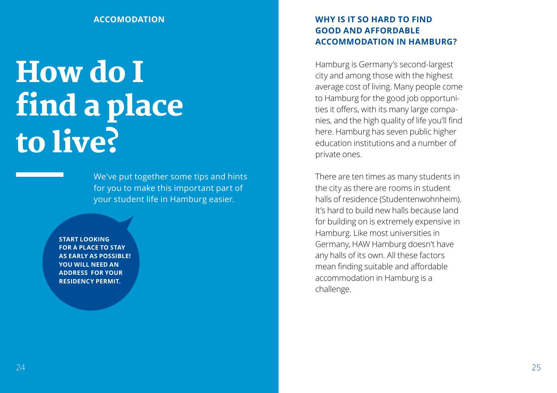#### **ACCOMODATION**

# How do I find a place to live?

We've put together some tips and hints for you to make this important part of your student life in Hamburg easier.

**START LOOKING FOR A PLACE TO STAY AS EARLY AS POSSIBLE! YOU WILL NEED AN ADDRESS FOR YOUR RESIDENCY PERMIT.**

#### **WHY IS IT SO HARD TO FIND GOOD AND AFFORDABLE ACCOMMODATION IN HAMBURG?**

Hamburg is Germany's second-largest city and among those with the highest average cost of living. Many people come to Hamburg for the good job opportunities it offers, with its many large companies, and the high quality of life you'll find here. Hamburg has seven public higher education institutions and a number of private ones.

There are ten times as many students in the city as there are rooms in student halls of residence (Studentenwohnheim). It's hard to build new halls because land for building on is extremely expensive in Hamburg. Like most universities in Germany, HAW Hamburg doesn't have any halls of its own. All these factors mean finding suitable and affordable accommodation in Hamburg is a challenge.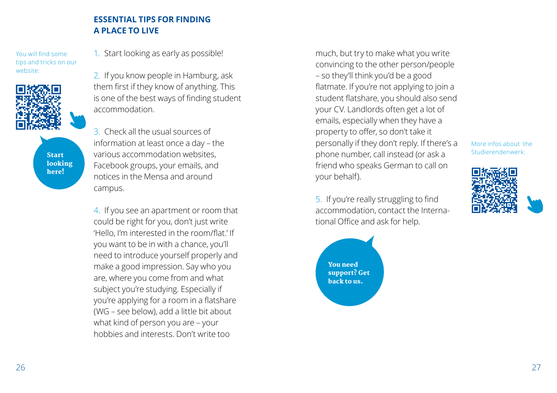#### **ESSENTIAL TIPS FOR FINDING A PLACE TO LIVE**

You will find some tips and tricks on our website:



Start looking here!

1. Start looking as early as possible!

2. If you know people in Hamburg, ask them first if they know of anything. This is one of the best ways of finding student accommodation.

3. Check all the usual sources of information at least once a day – the various accommodation websites, Facebook groups, your emails, and notices in the Mensa and around campus.

4. If you see an apartment or room that could be right for you, don't just write 'Hello, I'm interested in the room/flat.' If you want to be in with a chance, you'll need to introduce yourself properly and make a good impression. Say who you are, where you come from and what subject you're studying. Especially if you're applying for a room in a flatshare (WG – see below), add a little bit about what kind of person you are – your hobbies and interests. Don't write too

much, but try to make what you write convincing to the other person/people – so they'll think you'd be a good flatmate. If you're not applying to join a student flatshare, you should also send your CV. Landlords often get a lot of emails, especially when they have a property to offer, so don't take it personally if they don't reply. If there's a phone number, call instead (or ask a friend who speaks German to call on your behalf).

5. If you're really struggling to find accommodation, contact the International Office and ask for help.



More infos about the Studierendenwerk:

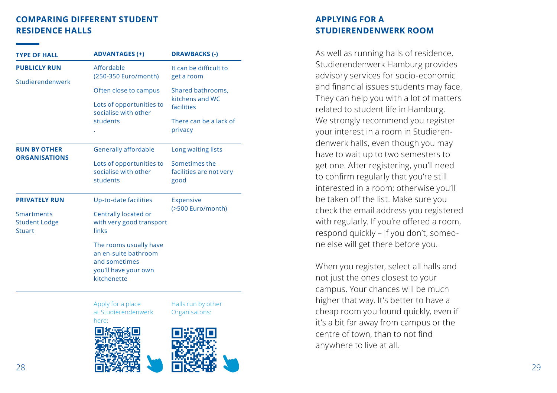#### **COMPARING DIFFERENT STUDENT RESIDENCE HALLS**

| <b>TYPE OF HALL</b>                                 | <b>ADVANTAGES (+)</b>                                                                                  | <b>DRAWBACKS (-)</b>                               |
|-----------------------------------------------------|--------------------------------------------------------------------------------------------------------|----------------------------------------------------|
| <b>PUBLICLY RUN</b>                                 | Affordable<br>(250-350 Euro/month)                                                                     | It can be difficult to<br>get a room               |
| Studierendenwerk                                    | Often close to campus                                                                                  | Shared bathrooms,<br>kitchens and WC<br>facilities |
|                                                     | Lots of opportunities to<br>socialise with other                                                       |                                                    |
|                                                     | students                                                                                               | There can be a lack of<br>privacy                  |
| <b>RUN BY OTHER</b><br><b>ORGANISATIONS</b>         | Generally affordable                                                                                   | Long waiting lists                                 |
|                                                     | Lots of opportunities to<br>socialise with other<br>students                                           | Sometimes the<br>facilities are not very<br>good   |
| <b>PRIVATELY RUN</b>                                | Up-to-date facilities                                                                                  | <b>Expensive</b><br>(>500 Euro/month)              |
| <b>Smartments</b><br><b>Student Lodge</b><br>Stuart | Centrally located or<br>with very good transport<br>links                                              |                                                    |
|                                                     | The rooms usually have<br>an en-suite bathroom<br>and sometimes<br>you'll have your own<br>kitchenette |                                                    |
|                                                     | Apply for a place<br>at Studierendenwerk                                                               | Halls run by other<br>Organisatons:                |

[here:](https://en.studierendenwerk-hamburg.de/studierendenwerk/en/wohnen/online_application/) 



#### **APPLYING FOR A STUDIERENDENWERK ROOM**

As well as running halls of residence, Studierendenwerk Hamburg provides advisory services for socio-economic and financial issues students may face. They can help you with a lot of matters related to student life in Hamburg. We strongly recommend you register your interest in a room in Studieren denwerk halls, even though you may have to wait up to two semesters to get one. After registering, you'll need to confirm regularly that you're still interested in a room; otherwise you'll be taken off the list. Make sure you check the email address you registered with regularly. If you're offered a room, respond quickly – if you don't, someo ne else will get there before you.

When you register, select all halls and not just the ones closest to your campus. Your chances will be much higher that way. It's better to have a cheap room you found quickly, even if it's a bit far away from campus or the centre of town, than to not find anywhere to live at all.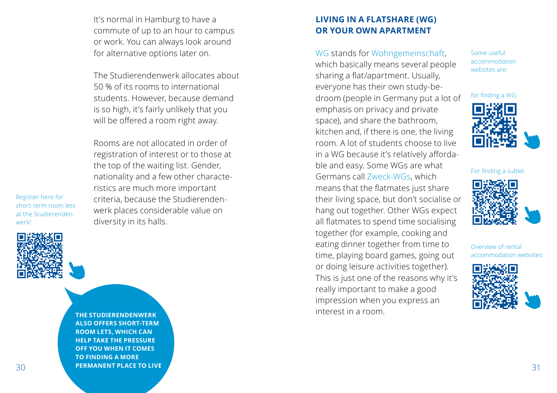It's normal in Hamburg to have a commute of up to an hour to campus or work. You can always look around for alternative options later on.

The Studierendenwerk allocates about 50 % of its rooms to international students. However, because demand is so high, it's fairly unlikely that you will be offered a room right away.

Rooms are not allocated in order of registration of interest or to those at the top of the waiting list. Gender, nationality and a few other characteristics are much more important criteria, because the Studierendenwerk places considerable value on diversity in its halls.

Register here for short-term room lets at the Studierendenwerk!



30 **PERMANENT PLACE TO LIVE THE RESIDENCE OF A SET OF A SET OF A SET OF A SET OF A SET OF A SET OF A SET OF A SET OF A SET OF A SET OF A SET OF A SET OF A SET OF A SET OF A SET OF A SET OF A SET OF A SET OF A SET OF A SET THE STUDIERENDENWERK ALSO OFFERS SHORT-TERM ROOM LETS, WHICH CAN HELP TAKE THE PRESSURE OFF YOU WHEN IT COMES TO FINDING A MORE PERMANENT PLACE TO LIVE**

#### **LIVING IN A FLATSHARE (WG) OR YOUR OWN APARTMENT**

WG stands for Wohngemeinschaft, which basically means several people sharing a flat/apartment. Usually, everyone has their own study-bedroom (people in Germany put a lot of emphasis on privacy and private space), and share the bathroom, kitchen and, if there is one, the living room. A lot of students choose to live in a WG because it's relatively affordable and easy. Some WGs are what Germans call Zweck-WGs, which means that the flatmates just share their living space, but don't socialise or hang out together. Other WGs expect all flatmates to spend time socialising together (for example, cooking and eating dinner together from time to time, playing board games, going out or doing leisure activities together). This is just one of the reasons why it's really important to make a good impression when you express an interest in a room.

Some useful accommodation websites are:





For finding a sublet



Overview of rental accommodation websites:

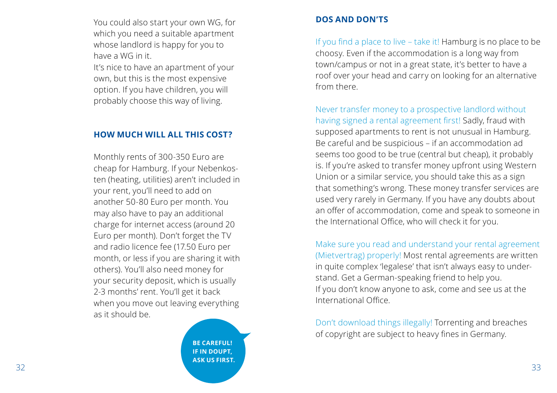You could also start your own WG, for which you need a suitable apartment whose landlord is happy for you to have a WG in it.

It's nice to have an apartment of your own, but this is the most expensive option. If you have children, you will probably choose this way of living.

#### **HOW MUCH WILL ALL THIS COST?**

Monthly rents of 300-350 Euro are cheap for Hamburg. If your Nebenkos ten (heating, utilities) aren't included in your rent, you'll need to add on another 50-80 Euro per month. You may also have to pay an additional charge for internet access (around 20 Euro per month). Don't forget the TV and radio licence fee (17.50 Euro per month, or less if you are sharing it with others). You'll also need money for your security deposit, which is usually 2-3 months' rent. You'll get it back when you move out leaving everything as it should be.

 $32$  33 **BE CAREFUL! IF IN DOUPT, ASK US FIRST.**

#### **DOS AND DON'TS**

If you find a place to live – take it! Hamburg is no place to be choosy. Even if the accommodation is a long way from town/campus or not in a great state, it's better to have a roof over your head and carry on looking for an alternative from there.

Never transfer money to a prospective landlord without having signed a rental agreement first! Sadly, fraud with supposed apartments to rent is not unusual in Hamburg. Be careful and be suspicious – if an accommodation ad seems too good to be true (central but cheap), it probably is. If you're asked to transfer money upfront using Western Union or a similar service, you should take this as a sign that something's wrong. These money transfer services are used very rarely in Germany. If you have any doubts about an offer of accommodation, come and speak to someone in the International Office, who will check it for you.

Make sure you read and understand your rental agreement (Mietvertrag) properly! Most rental agreements are written in quite complex 'legalese' that isn't always easy to under stand. Get a German-speaking friend to help you. If you don't know anyone to ask, come and see us at the International Office.

Don't download things illegally! Torrenting and breaches of copyright are subject to heavy fines in Germany.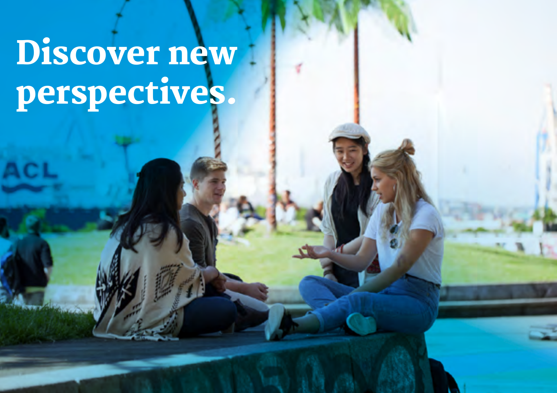# Discover new perspectives.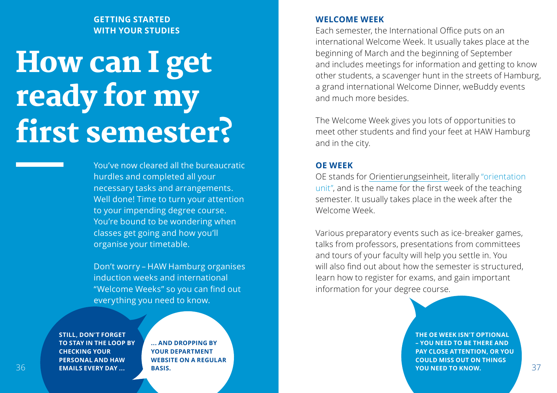#### **GETTING STARTED WITH YOUR STUDIES**

## How can I get ready for my first semester?

You've now cleared all the bureaucratic hurdles and completed all your necessary tasks and arrangements. Well done! Time to turn your attention to your impending degree course. You're bound to be wondering when classes get going and how you'll organise your timetable.

Don't worry – HAW Hamburg organises induction weeks and international "Welcome Weeks" so you can find out everything you need to know.

**STILL, DON'T FORGET TO STAY IN THE LOOP BY CHECKING YOUR PERSONAL AND HAW EMAILS EVERY DAY ...**

**... AND DROPPING BY YOUR DEPARTMENT WEBSITE ON A REGULAR BASIS.** 

#### **WELCOME WEEK**

Each semester, the International Office puts on an international Welcome Week. It usually takes place at the beginning of March and the beginning of September and includes meetings for information and getting to know other students, a scavenger hunt in the streets of Hamburg, a grand international Welcome Dinner, weBuddy events and much more besides.

The Welcome Week gives you lots of opportunities to meet other students and find your feet at HAW Hamburg and in the city.

#### **OE WEEK**

OE stands for Orientierungseinheit, literally "orientation unit", and is the name for the first week of the teaching semester. It usually takes place in the week after the Welcome Week.

Various preparatory events such as ice-breaker games, talks from professors, presentations from committees and tours of your faculty will help you settle in. You will also find out about how the semester is structured, learn how to register for exams, and gain important information for your degree course.

36 37 **THE OE WEEK ISN'T OPTIONAL – YOU NEED TO BE THERE AND PAY CLOSE ATTENTION, OR YOU COULD MISS OUT ON THINGS YOU NEED TO KNOW.**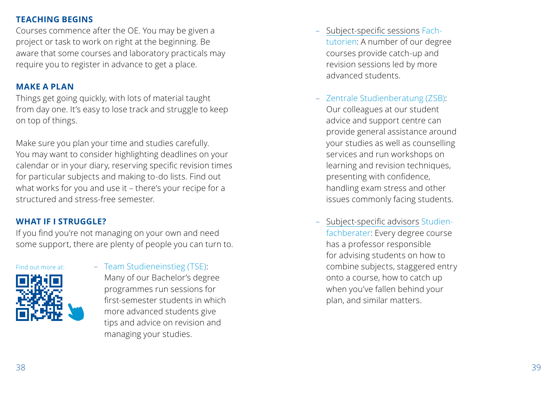#### **TEACHING BEGINS**

Courses commence after the OE. You may be given a project or task to work on right at the beginning. Be aware that some courses and laboratory practicals may require you to register in advance to get a place.

#### **MAKE A PLAN**

Things get going quickly, with lots of material taught from day one. It's easy to lose track and struggle to keep on top of things.

Make sure you plan your time and studies carefully. You may want to consider highlighting deadlines on your calendar or in your diary, reserving specific revision times for particular subjects and making to-do lists. Find out what works for you and use it – there's your recipe for a structured and stress-free semester.

#### **WHAT IF I STRUGGLE?**

If you find you're not managing on your own and need some support, there are plenty of people you can turn to.





– Team Studieneinstieg (TSE): Many of our Bachelor's degree programmes run sessions for first-semester students in which more advanced students give tips and advice on revision and managing your studies.

- Subject-specific sessions Fachtutorien: A number of our degree courses provide catch-up and revision sessions led by more advanced students.
- Zentrale Studienberatung (ZSB): Our colleagues at our student advice and support centre can provide general assistance around your studies as well as counselling services and run workshops on learning and revision techniques, presenting with confidence, handling exam stress and other issues commonly facing students.
- Subject-specific advisors Studienfachberater: Every degree course has a professor responsible for advising students on how to combine subjects, staggered entry onto a course, how to catch up when you've fallen behind your plan, and similar matters.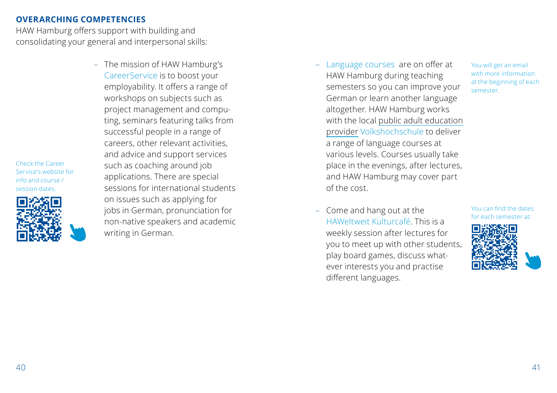#### **OVERARCHING COMPETENCIES**

HAW Hamburg offers support with building and consolidating your general and interpersonal skills:

> – The mission of HAW Hamburg's CareerService is to boost your employability. It offers a range of workshops on subjects such as project management and computing, seminars featuring talks from successful people in a range of careers, other relevant activities, and advice and support services such as coaching around job applications. There are special sessions for international students on issues such as applying for jobs in German, pronunciation for non-native speakers and academic writing in German.

– Language courses are on offer at HAW Hamburg during teaching semesters so you can improve your German or learn another language altogether. HAW Hamburg works with the local public adult education provider Volkshochschule to deliver a range of language courses at various levels. Courses usually take place in the evenings, after lectures, and HAW Hamburg may cover part of the cost.

You will get an email with more information at the beginning of each semester.

– Come and hang out at the HAWeltweit Kulturcafé. This is a weekly session after lectures for you to meet up with other students, play board games, discuss whatever interests you and practise different languages.

You can find the dates for each semester at:



Check the Career Service's website for info and course / session dates.

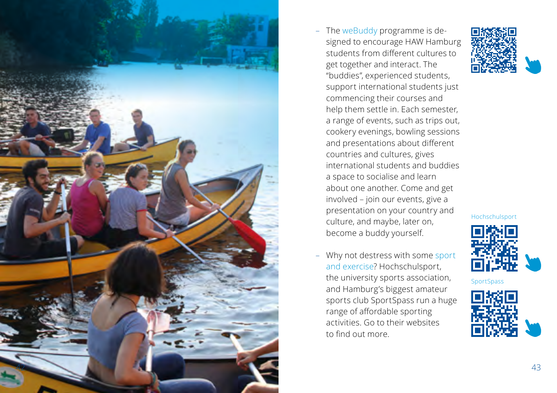

- signed to encourage HAW Hamburg students from different cultures to get together and interact. The "buddies", experienced students, support international students just commencing their courses and help them settle in. Each semester, a range of events, such as trips out, cookery evenings, bowling sessions and presentations about different countries and cultures, gives international students and buddies a space to socialise and learn about one another. Come and get involved – join our events, give a presentation on your country and culture, and maybe, later on, become a buddy yourself.
- Why not destress with some sport and exercise? Hochschulsport, the university sports association, and Hamburg's biggest amateur sports club SportSpass run a huge range of affordable sporting activities. Go to their websites to find out more.



Hochschulsport



**SportSpass** 

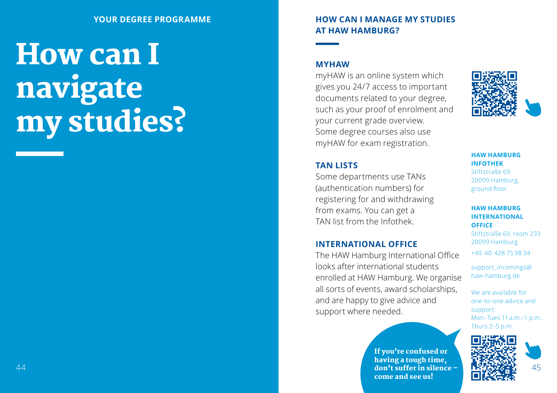# How can I navigate my studies?

#### **HOW CAN I MANAGE MY STUDIES AT HAW HAMBURG?**

#### **MYHAW**

myHAW is an online system which gives you 24/7 access to important documents related to your degree, such as your proof of enrolment and your current grade overview. Some degree courses also use myHAW for exam registration.

#### **TAN LISTS**

Some departments use TANs (authentication numbers) for registering for and withdrawing from exams. You can get a TAN list from the Infothek.

#### **INTERNATIONAL OFFICE**

The HAW Hamburg International Office looks after international students enrolled at HAW Hamburg. We organise all sorts of events, award scholarships, and are happy to give advice and support where needed.

44 45 don't suffer in silence – If you're confused or having a tough time, come and see us!



**HAW HAMBURG INFOTHEK** Stiftstraße 69 20099 Hamburg, ground floor

#### **HAW HAMBURG INTERNATIONAL OFFICE**

Stiftstraße 69, room 233 20099 Hamburg

+49 40 428 75 98 34

support\_incomings@ haw-hamburg.de

We are available for one-to-one advice and support: Mon–Tues 11 a.m.–1 p.m., Thurs 2–5 p.m.

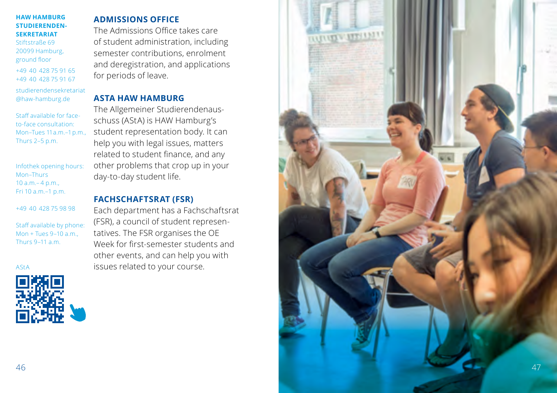#### **HAW HAMBURG STUDIERENDEN-SEKRETARIAT**

Stiftstraße 69 20099 Hamburg, ground floor +49 40 428 75 91 65 +49 40 428 75 91 67

studierendensekretariat @haw-hamburg.de

Staff available for faceto-face consultation: Mon–Tues 11 a.m.–1 p.m., Thurs 2–5 p.m.

Infothek opening hours: Mon–Thurs 10 a.m.– 4 p.m., Fri 10 a.m.–1 p.m.

+49 40 428 75 98 98

Staff available by phone: Mon + Tues 9–10 a.m., Thurs 9–11 a.m.

AStA



#### **ADMISSIONS OFFICE**

The Admissions Office takes care of student administration, including semester contributions, enrolment and deregistration, and applications for periods of leave.

#### **ASTA HAW HAMBURG**

The Allgemeiner Studierendenaus schuss (AStA) is HAW Hamburg's student representation body. It can help you with legal issues, matters related to student finance, and any other problems that crop up in your day-to-day student life.

#### **FACHSCHAFTSRAT (FSR)**

Each department has a Fachschaftsrat (FSR), a council of student represen tatives. The FSR organises the OE Week for first-semester students and other events, and can help you with issues related to your course.

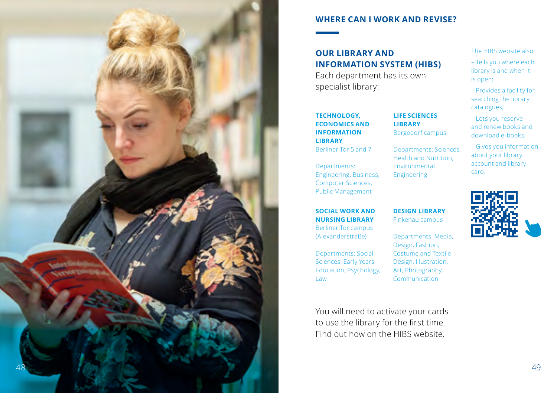

#### **WHERE CAN I WORK AND REVISE?**

#### **OUR LIBRARY AND INFORMATION SYSTEM (HIBS)**

Each department has its own specialist library:

#### **TECHNOLOGY, ECONOMICS AND INFORMATION LIBRARY** Berliner Tor 5 and 7

Departments: Engineering, Business, Computer Sciences, Public Management

#### **SOCIAL WORK AND NURSING LIBRARY**

Berliner Tor campus (Alexanderstraße)

Departments: Social Sciences, Early Years Education, Psychology, Law

You will need to activate your cards to use the library for the first time. Find out how on the HIBS website.

#### The HIBS website also:

- Tells you where each library is and when it is open;
- Provides a facility for searching the library catalogues;
- Lets you reserve and renew books and download e-books;
- Gives you information about your library account and library card.



**DESIGN LIBRARY** Finkenau campus

**LIFE SCIENCES LIBRARY** Bergedorf campus Departments: Sciences, Health and Nutrition, Environmental Engineering

Departments: Media, Design, Fashion, Costume and Textile Design, Illustration, Art, Photography, Communication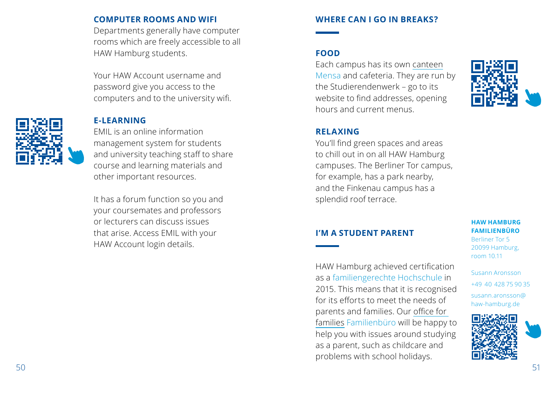#### **COMPUTER ROOMS AND WIFI**

Departments generally have computer rooms which are freely accessible to all HAW Hamburg students.

Your HAW Account username and password give you access to the computers and to the university wifi.

#### **E-LEARNING**

EMIL is an online information management system for students and university teaching staff to share course and learning materials and other important resources.

It has a forum function so you and your coursemates and professors or lecturers can discuss issues that arise. Access EMIL with your HAW Account login details.

#### **WHERE CAN I GO IN BREAKS?**

#### **FOOD**

Each campus has its own canteen Mensa and cafeteria. They are run by the Studierendenwerk – go to its website to find addresses, opening hours and current menus.



#### **RELAXING**

You'll find green spaces and areas to chill out in on all HAW Hamburg campuses. The Berliner Tor campus, for example, has a park nearby, and the Finkenau campus has a splendid roof terrace.

#### **I'M A STUDENT PARENT**

HAW Hamburg achieved certification as a familiengerechte Hochschule in 2015. This means that it is recognised for its efforts to meet the needs of parents and families. Our office for families Familienbüro will be happy to help you with issues around studying as a parent, such as childcare and problems with school holidays.

**HAW HAMBURG FAMILIENBÜRO** Berliner Tor 5 20099 Hamburg, room 10.11

Susann Aronsson +49 40 428 75 90 35 susann.aronsson@ haw-hamburg.de

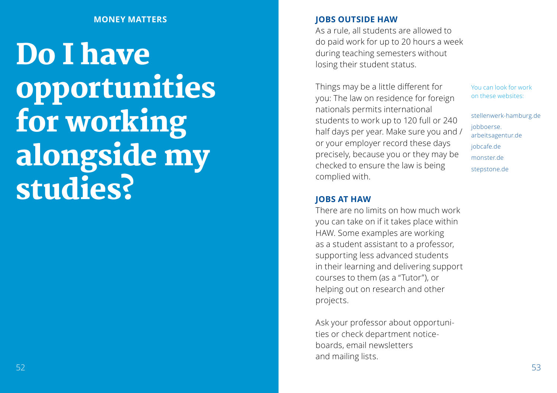#### **MONEY MATTERS**

Do I have opportunities for working alongside my studies?

#### **JOBS OUTSIDE HAW**

As a rule, all students are allowed to do paid work for up to 20 hours a week during teaching semesters without losing their student status.

Things may be a little different for you: The law on residence for foreign nationals permits international students to work up to 120 full or 240 half days per year. Make sure you and / or your employer record these days precisely, because you or they may be checked to ensure the law is being complied with.

**JOBS AT HAW**

There are no limits on how much work you can take on if it takes place within HAW. Some examples are working as a student assistant to a professor, supporting less advanced students in their learning and delivering support courses to them (as a "Tutor"), or helping out on research and other projects.

Ask your professor about opportuni ties or check department notice boards, email newsletters and mailing lists.

You can look for work on these websites:

stellenwerk-hamburg.de jobboerse. arbeitsagentur.de jobcafe.de monster.de stepstone.de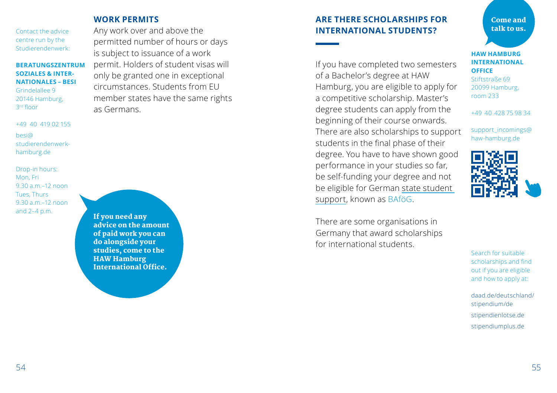Contact the advice centre run by the Studierendenwerk:

#### **BERATUNGSZENTRUM SOZIALES & INTER-NATIONALES – BESI**

Grindelallee 9 20146 Hamburg, 3rd floor

+49 40 419 02 155 besi@ studierendenwerkhamburg.de

Drop-in hours: Mon, Fri 9.30 a.m.–12 noon Tues, Thurs 9.30 a.m.–12 noon and 2–4 p.m.

**WORK PERMITS**

Any work over and above the permitted number of hours or days is subject to issuance of a work permit. Holders of student visas will only be granted one in exceptional circumstances. Students from EU member states have the same rights as Germans.

If you need any advice on the amount of paid work you can do alongside your studies, come to the HAW Hamburg International Office.

#### **ARE THERE SCHOLARSHIPS FOR INTERNATIONAL STUDENTS?**

If you have completed two semesters of a Bachelor's degree at HAW Hamburg, you are eligible to apply for a competitive scholarship. Master's degree students can apply from the beginning of their course onwards. There are also scholarships to support students in the final phase of their degree. You have to have shown good performance in your studies so far, be self-funding your degree and not be eligible for German state student support, known as BAföG.

There are some organisations in Germany that award scholarships for international students.

Come and talk to us.

**HAW HAMBURG INTERNATIONAL OFFICE** 

Stiftstraße 69 20099 Hamburg, room 233

+49 40 428 75 98 34

support\_incomings@ haw-hamburg.de



Search for suitable scholarships and find out if you are eligible and how to apply at:

daad.de/deutschland/ stipendium/de stipendienlotse.de stipendiumplus.de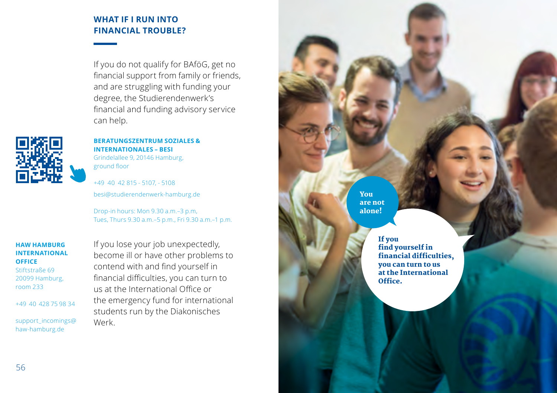#### **WHAT IF I RUN INTO FINANCIAL TROUBLE?**

If you do not qualify for BAföG, get no financial support from family or friends, and are struggling with funding your degree, the Studierendenwerk's financial and funding advisory service can help.



**BERATUNGSZENTRUM SOZIALES & INTERNATIONALES – BESI** Grindelallee 9, 20146 Hamburg, ground floor

+49 40 42 815 - 5107, - 5108 besi@studierendenwerk-hamburg.de

Drop-in hours: Mon 9.30 a.m.–3 p.m, Tues, Thurs 9.30 a.m.–5 p.m., Fri 9.30 a.m.–1 p.m.

#### **HAW HAMBURG INTERNATIONAL OFFICE**  Stiftstraße 69

20099 Hamburg, room 233

+49 40 428 75 98 34

support\_incomings@ haw-hamburg.de

If you lose your job unexpectedly, become ill or have other problems to contend with and find yourself in financial difficulties, you can turn to us at the International Office or the emergency fund for international students run by the Diakonisches Werk.

You are not alone!

> If you find yourself in financial difficulties, you can turn to us at the International Office.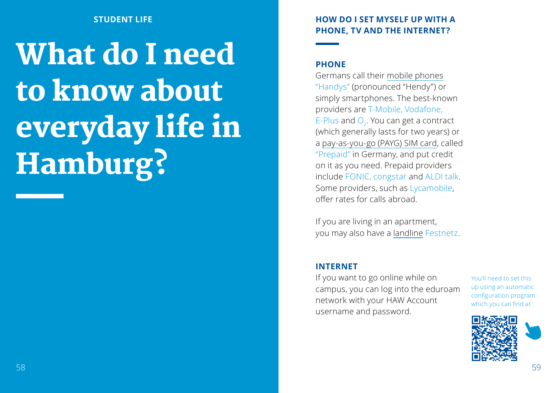#### **STUDENT LIFE**

# What do I need to know about everyday life in Hamburg?

#### **HOW DO I SET MYSELF UP WITH A PHONE, TV AND THE INTERNET?**

#### **PHONE**

Germans call their mobile phones "Handys" (pronounced "Hendy") or simply smartphones. The best-known providers are T-Mobile, Vodafone, E-Plus and  $O<sub>2</sub>$ . You can get a contract (which generally lasts for two years) or a pay-as-you-go (PAYG) SIM card, called "Prepaid" in Germany, and put credit on it as you need. Prepaid providers include FONIC, congstar and ALDI talk. Some providers, such as Lycamobile, offer rates for calls abroad.

If you are living in an apartment, you may also have a landline Festnetz.

#### **INTERNET**

If you want to go online while on campus, you can log into the eduroam network with your HAW Account username and password.

You'll need to set this up using an automatic configuration program which you can find at :

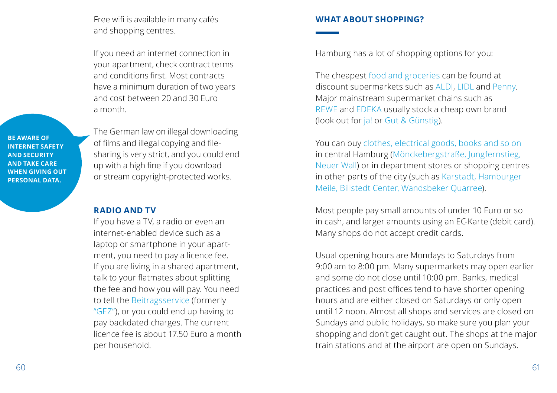Free wifi is available in many cafés and shopping centres.

If you need an internet connection in your apartment, check contract terms and conditions first. Most contracts have a minimum duration of two years and cost between 20 and 30 Euro a month.

**BE AWARE OF INTERNET SAFETY AND SECURITY AND TAKE CARE WHEN GIVING OUT PERSONAL DATA.** 

The German law on illegal downloading of films and illegal copying and filesharing is very strict, and you could end up with a high fine if you download or stream copyright-protected works.

#### **RADIO AND TV**

If you have a TV, a radio or even an internet-enabled device such as a laptop or smartphone in your apartment, you need to pay a licence fee. If you are living in a shared apartment, talk to your flatmates about splitting the fee and how you will pay. You need to tell the Beitragsservice (formerly "GEZ"), or you could end up having to pay backdated charges. The current licence fee is about 17.50 Euro a month per household.

#### **WHAT ABOUT SHOPPING?**

Hamburg has a lot of shopping options for you:

The cheapest food and groceries can be found at discount supermarkets such as ALDI, LIDL and Penny. Major mainstream supermarket chains such as REWE and EDEKA usually stock a cheap own brand (look out for ja! or Gut & Günstig).

You can buy clothes, electrical goods, books and so on in central Hamburg (Mönckebergstraße, Jungfernstieg, Neuer Wall) or in department stores or shopping centres in other parts of the city (such as Karstadt, Hamburger Meile, Billstedt Center, Wandsbeker Quarree).

Most people pay small amounts of under 10 Euro or so in cash, and larger amounts using an EC-Karte (debit card). Many shops do not accept credit cards.

Usual opening hours are Mondays to Saturdays from 9:00 am to 8:00 pm. Many supermarkets may open earlier and some do not close until 10:00 pm. Banks, medical practices and post offices tend to have shorter opening hours and are either closed on Saturdays or only open until 12 noon. Almost all shops and services are closed on Sundays and public holidays, so make sure you plan your shopping and don't get caught out. The shops at the major train stations and at the airport are open on Sundays.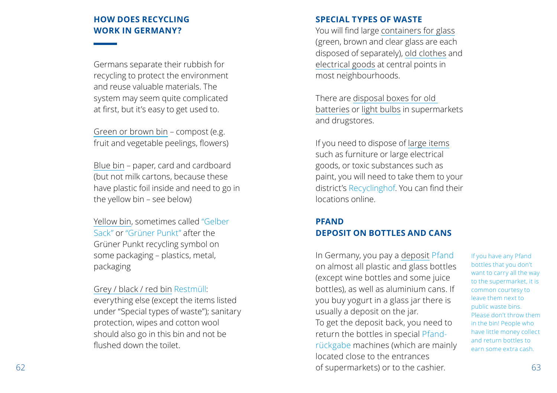#### **HOW DOES RECYCLING WORK IN GERMANY?**

Germans separate their rubbish for recycling to protect the environment and reuse valuable materials. The system may seem quite complicated at first, but it's easy to get used to.

Green or brown bin – compost (e.g. fruit and vegetable peelings, flowers)

Blue bin – paper, card and cardboard (but not milk cartons, because these have plastic foil inside and need to go in the yellow bin – see below)

Yellow bin, sometimes called "Gelber Sack" or "Grüner Punkt" after the Grüner Punkt recycling symbol on some packaging – plastics, metal, packaging

Grey / black / red bin Restmüll:

everything else (except the items listed under "Special types of waste"); sanitary protection, wipes and cotton wool should also go in this bin and not be flushed down the toilet.

#### **SPECIAL TYPES OF WASTE**

You will find large containers for glass (green, brown and clear glass are each disposed of separately), old clothes and electrical goods at central points in most neighbourhoods.

There are disposal boxes for old batteries or light bulbs in supermarkets and drugstores.

If you need to dispose of large items such as furniture or large electrical goods, or toxic substances such as paint, you will need to take them to your district's Recyclinghof. You can find their locations online.

#### **PFAND DEPOSIT ON BOTTLES AND CANS**

62 63 of supermarkets) or to the cashier. In Germany, you pay a deposit Pfand on almost all plastic and glass bottles (except wine bottles and some juice bottles), as well as aluminium cans. If you buy yogurt in a glass jar there is usually a deposit on the jar. To get the deposit back, you need to return the bottles in special Pfand rückgabe machines (which are mainly located close to the entrances

If you have any Pfand bottles that you don't want to carry all the way to the supermarket, it is common courtesy to leave them next to public waste bins. Please don't throw them in the bin! People who have little money collect and return bottles to earn some extra cash.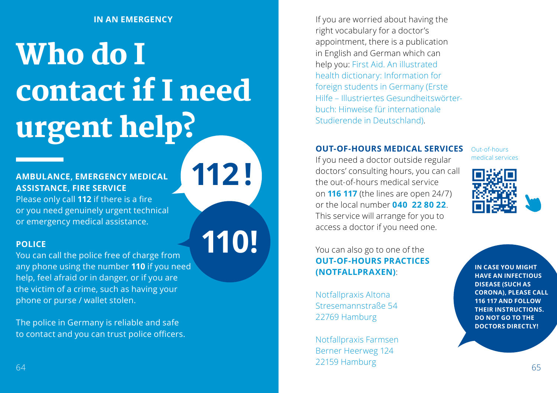# Who do I contact if I need urgent help?

**112 !**

**110!**

#### **AMBULANCE, EMERGENCY MEDICAL ASSISTANCE, FIRE SERVICE**

Please only call **112** if there is a fire or you need genuinely urgent technical or emergency medical assistance.

#### **POLICE**

You can call the police free of charge from any phone using the number **110** if you need help, feel afraid or in danger, or if you are the victim of a crime, such as having your phone or purse / wallet stolen.

The police in Germany is reliable and safe to contact and you can trust police officers.

**IN AN EMERGENCY IN AN EMERGENCY IF you are worried about having the** right vocabulary for a doctor's appointment, there is a publication in English and German which can help you: First Aid. An illustrated health dictionary: Information for foreign students in Germany (Erste Hilfe – Illustriertes Gesundheitswörterbuch: Hinweise für internationale Studierende in Deutschland).

#### **OUT-OF-HOURS MEDICAL SERVICES**

If you need a doctor outside regular doctors' consulting hours, you can call the out-of-hours medical service on **116 117** (the lines are open 24/7) or the local number **040 22 80 22**. This service will arrange for you to access a doctor if you need one.

Out-of-hours medical services



You can also go to one of the **OUT-OF-HOURS PRACTICES (NOTFALLPRAXEN)**:

Notfallpraxis Altona Stresemannstraße 54 22769 Hamburg

64 65 Notfallpraxis Farmsen Berner Heerweg 124 22159 Hamburg

**IN CASE YOU MIGHT HAVE AN INFECTIOUS DISEASE (SUCH AS CORONA), PLEASE CALL 116 117 AND FOLLOW THEIR INSTRUCTIONS. DO NOT GO TO THE DOCTORS DIRECTLY!**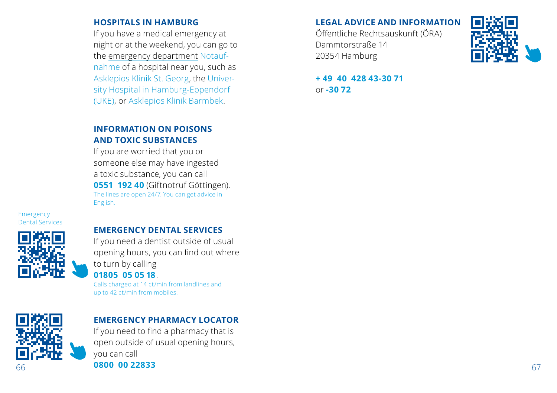#### **HOSPITALS IN HAMBURG**

If you have a medical emergency at night or at the weekend, you can go to the emergency department Notaufnahme of a hospital near you, such as Asklepios Klinik St. Georg, the University Hospital in Hamburg-Eppendorf (UKE), or Asklepios Klinik Barmbek.

#### **INFORMATION ON POISONS AND TOXIC SUBSTANCES**

If you are worried that you or someone else may have ingested a toxic substance, you can call **0551 192 40** (Giftnotruf Göttingen). The lines are open 24/7. You can get advice in English.

Emergency Dental Services



#### **EMERGENCY DENTAL SERVICES**

If you need a dentist outside of usual opening hours, you can find out where to turn by calling **01805 05 05 18**. Calls charged at 14 ct/min from landlines and

up to 42 ct/min from mobiles.



#### **EMERGENCY PHARMACY LOCATOR**

66 **67 1800 00 22833** 67 1800 1812 67 1812 67 1812 67 1812 67 1812 67 1812 67 1812 67 1812 67 1812 67 1812 67 If you need to find a pharmacy that is open outside of usual opening hours, you can call **0800 00 22833**

#### **LEGAL ADVICE AND INFORMATION**

Öffentliche Rechtsauskunft (ÖRA) Dammtorstraße 14 20354 Hamburg



**+ 49 40 428 43-30 71** or **-30 72**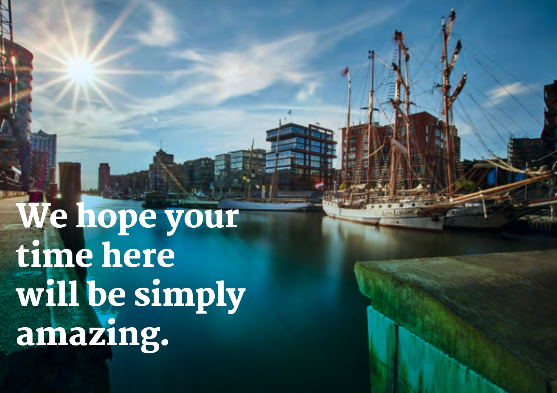We hope your time here will be simply amazing.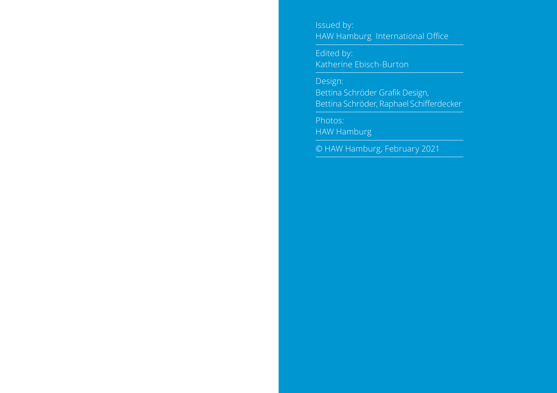Issued by: HAW Hamburg International Office

Edited by: Katherine Ebisch-Burton

Design: Bettina Schröder Grafik Design, Bettina Schröder, Raphael Schifferdecker

HAW Hamburg

© HAW Hamburg, February 2021